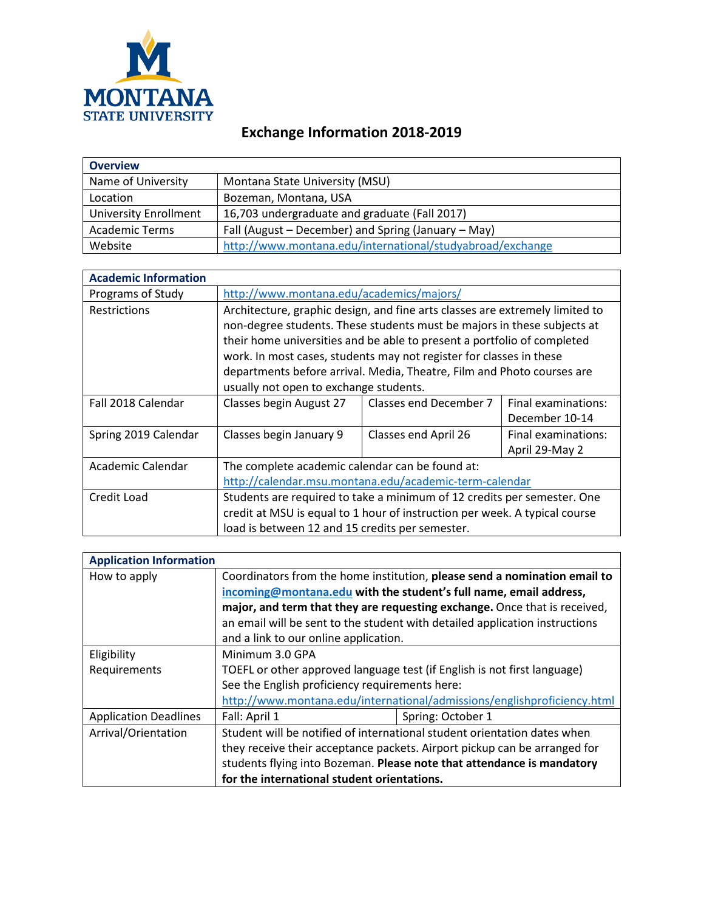

## **Exchange Information 2018-2019**

| <b>Overview</b>              |                                                           |
|------------------------------|-----------------------------------------------------------|
| Name of University           | Montana State University (MSU)                            |
| Location                     | Bozeman, Montana, USA                                     |
| <b>University Enrollment</b> | 16,703 undergraduate and graduate (Fall 2017)             |
| <b>Academic Terms</b>        | Fall (August – December) and Spring (January – May)       |
| Website                      | http://www.montana.edu/international/studyabroad/exchange |

| <b>Academic Information</b> |                                                                              |                        |                     |
|-----------------------------|------------------------------------------------------------------------------|------------------------|---------------------|
| Programs of Study           | http://www.montana.edu/academics/majors/                                     |                        |                     |
| Restrictions                | Architecture, graphic design, and fine arts classes are extremely limited to |                        |                     |
|                             | non-degree students. These students must be majors in these subjects at      |                        |                     |
|                             | their home universities and be able to present a portfolio of completed      |                        |                     |
|                             | work. In most cases, students may not register for classes in these          |                        |                     |
|                             | departments before arrival. Media, Theatre, Film and Photo courses are       |                        |                     |
|                             | usually not open to exchange students.                                       |                        |                     |
| Fall 2018 Calendar          | Classes begin August 27                                                      | Classes end December 7 | Final examinations: |
|                             |                                                                              |                        | December 10-14      |
| Spring 2019 Calendar        | Classes begin January 9                                                      | Classes end April 26   | Final examinations: |
|                             |                                                                              |                        | April 29-May 2      |
| Academic Calendar           | The complete academic calendar can be found at:                              |                        |                     |
|                             | http://calendar.msu.montana.edu/academic-term-calendar                       |                        |                     |
| Credit Load                 | Students are required to take a minimum of 12 credits per semester. One      |                        |                     |
|                             | credit at MSU is equal to 1 hour of instruction per week. A typical course   |                        |                     |
|                             | load is between 12 and 15 credits per semester.                              |                        |                     |

| <b>Application Information</b> |                                                                             |                   |  |
|--------------------------------|-----------------------------------------------------------------------------|-------------------|--|
| How to apply                   | Coordinators from the home institution, please send a nomination email to   |                   |  |
|                                | incoming@montana.edu with the student's full name, email address,           |                   |  |
|                                | major, and term that they are requesting exchange. Once that is received,   |                   |  |
|                                | an email will be sent to the student with detailed application instructions |                   |  |
|                                | and a link to our online application.                                       |                   |  |
| Eligibility                    | Minimum 3.0 GPA                                                             |                   |  |
| Requirements                   | TOEFL or other approved language test (if English is not first language)    |                   |  |
|                                | See the English proficiency requirements here:                              |                   |  |
|                                | http://www.montana.edu/international/admissions/englishproficiency.html     |                   |  |
| <b>Application Deadlines</b>   | Fall: April 1                                                               | Spring: October 1 |  |
| Arrival/Orientation            | Student will be notified of international student orientation dates when    |                   |  |
|                                | they receive their acceptance packets. Airport pickup can be arranged for   |                   |  |
|                                | students flying into Bozeman. Please note that attendance is mandatory      |                   |  |
|                                | for the international student orientations.                                 |                   |  |